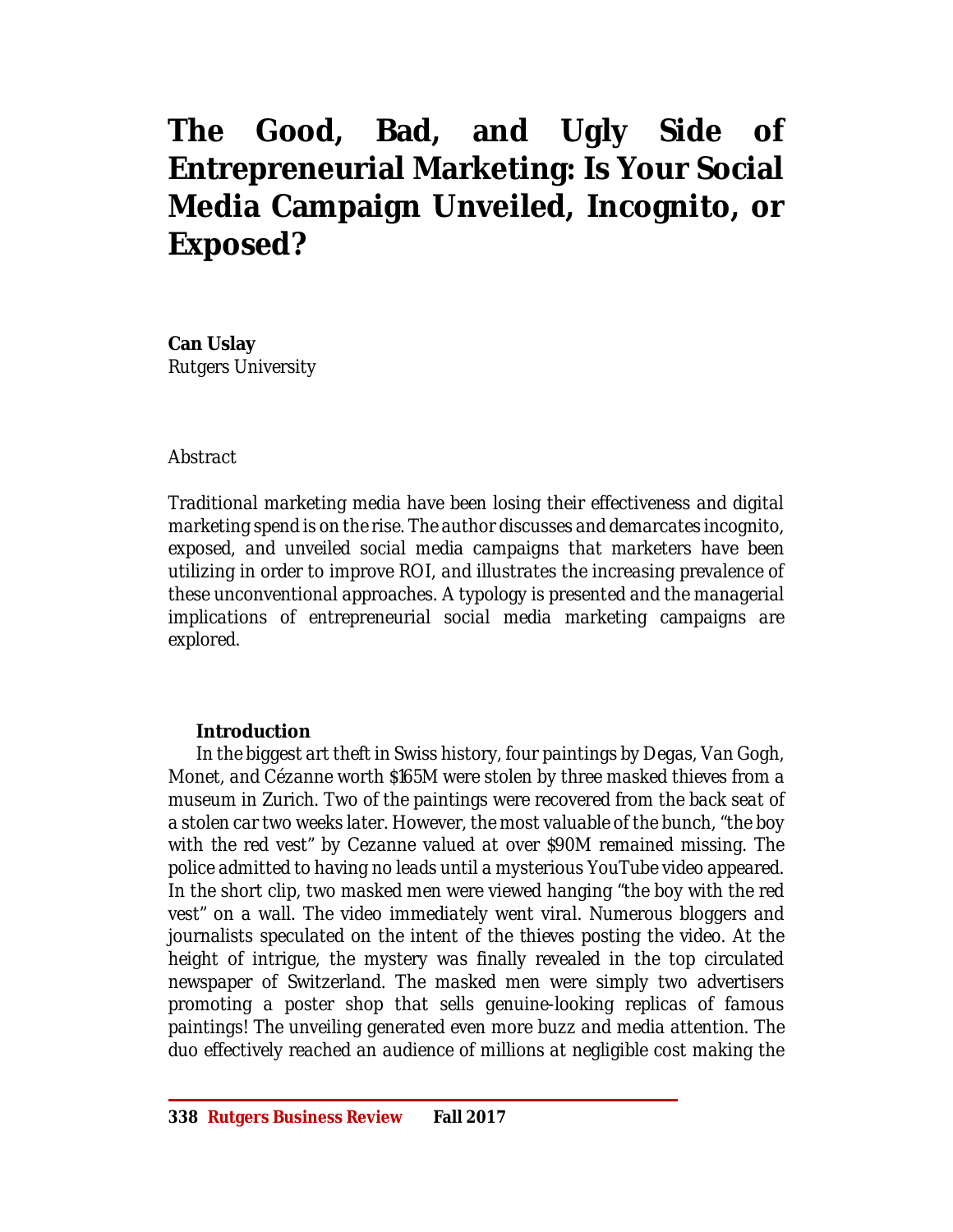# **The Good, Bad, and Ugly Side of Entrepreneurial Marketing: Is Your Social Media Campaign Unveiled, Incognito, or Exposed?**

**Can Uslay** *Rutgers University*

#### *Abstract*

*Traditional marketing media have been losing their effectiveness and digital marketing spend is on the rise. The author discusses and demarcates incognito, exposed, and unveiled social media campaigns that marketers have been utilizing in order to improve ROI, and illustrates the increasing prevalence of these unconventional approaches. A typology is presented and the managerial implications of entrepreneurial social media marketing campaigns are explored.*

#### **Introduction**

*In the biggest art theft in Swiss history, four paintings by Degas, Van Gogh, Monet, and Cézanne worth \$165M were stolen by three masked thieves from a museum in Zurich. Two of the paintings were recovered from the back seat of a stolen car two weeks later. However, the most valuable of the bunch, "the boy with the red vest" by Cezanne valued at over \$90M remained missing. The police admitted to having no leads until a mysterious YouTube video appeared. In the short clip, two masked men were viewed hanging "the boy with the red vest" on a wall. The video immediately went viral. Numerous bloggers and journalists speculated on the intent of the thieves posting the video. At the height of intrique, the mystery was finally revealed in the top circulated newspaper of Switzerland. The masked men were simply two advertisers promoting a poster shop that sells genuine-looking replicas of famous paintings! The unveiling generated even more buzz and media attention. The duo effectively reached an audience of millions at negligible cost making the*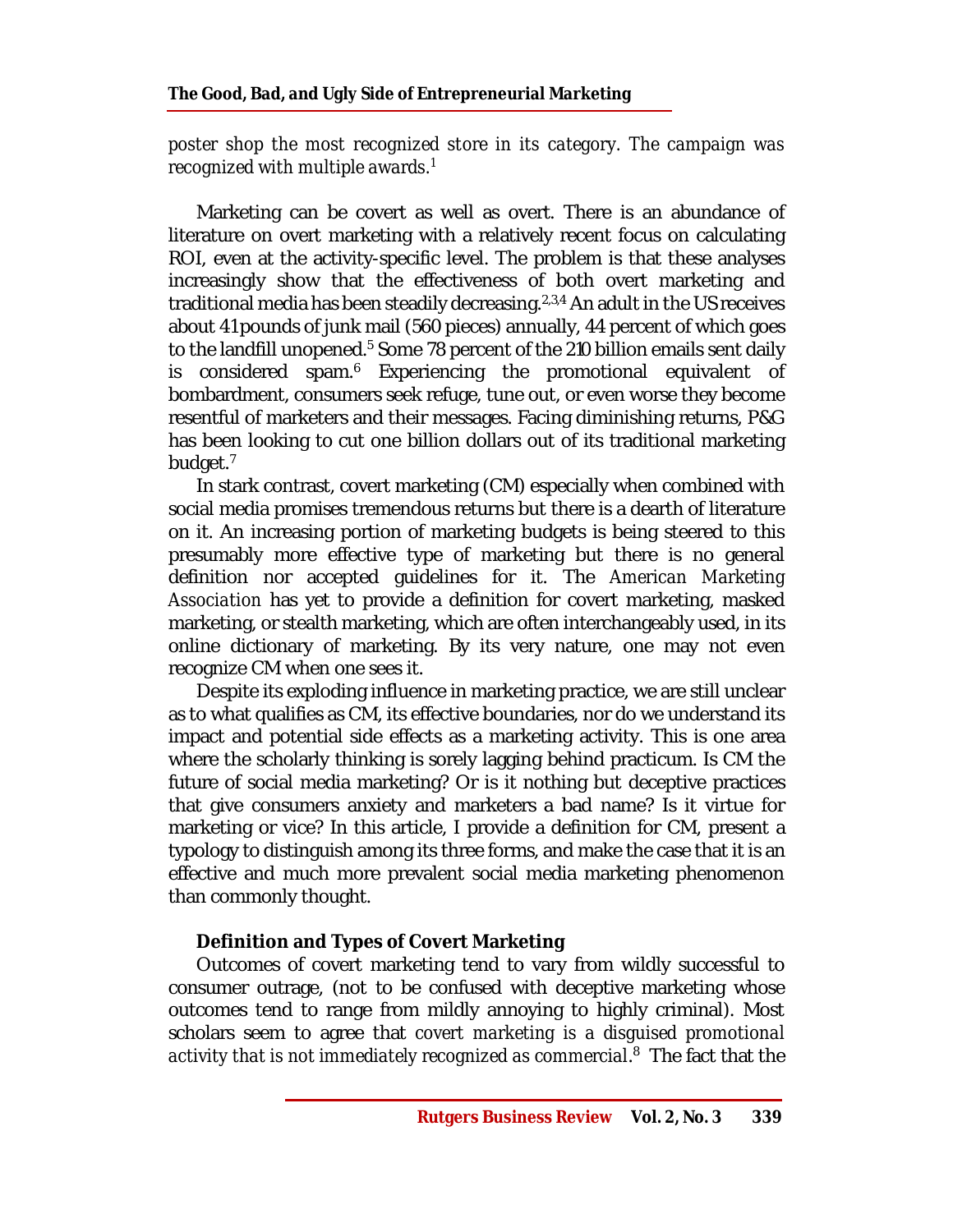*poster shop the most recognized store in its category. The campaign was recognized with multiple awards.<sup>1</sup>* 

Marketing can be covert as well as overt. There is an abundance of literature on overt marketing with a relatively recent focus on calculating ROI, even at the activity-specific level. The problem is that these analyses increasingly show that the effectiveness of both overt marketing and traditional media has been steadily decreasing. $2,3,4$  An adult in the US receives about 41 pounds of junk mail (560 pieces) annually, 44 percent of which goes to the landfill unopened.<sup>5</sup> Some 78 percent of the 210 billion emails sent daily is considered spam.<sup>6</sup> Experiencing the promotional equivalent of bombardment, consumers seek refuge, tune out, or even worse they become resentful of marketers and their messages. Facing diminishing returns, P&G has been looking to cut one billion dollars out of its traditional marketing budget.<sup>7</sup>

In stark contrast, covert marketing (CM) especially when combined with social media promises tremendous returns but there is a dearth of literature on it. An increasing portion of marketing budgets is being steered to this presumably more effective type of marketing but there is no general definition nor accepted guidelines for it. The *American Marketing Association* has yet to provide a definition for covert marketing, masked marketing, or stealth marketing, which are often interchangeably used, in its online dictionary of marketing. By its very nature, one may not even recognize CM when one sees it.

Despite its exploding influence in marketing practice, we are still unclear as to what qualifies as CM, its effective boundaries, nor do we understand its impact and potential side effects as a marketing activity. This is one area where the scholarly thinking is sorely lagging behind practicum. Is CM the future of social media marketing? Or is it nothing but deceptive practices that give consumers anxiety and marketers a bad name? Is it virtue for marketing or vice? In this article, I provide a definition for CM, present a typology to distinguish among its three forms, and make the case that it is an effective and much more prevalent social media marketing phenomenon than commonly thought.

# **Definition and Types of Covert Marketing**

Outcomes of covert marketing tend to vary from wildly successful to consumer outrage, (not to be confused with deceptive marketing whose outcomes tend to range from mildly annoying to highly criminal). Most scholars seem to agree that *covert marketing is a disguised promotional activity that is not immediately recognized as commercial*. 8 The fact that the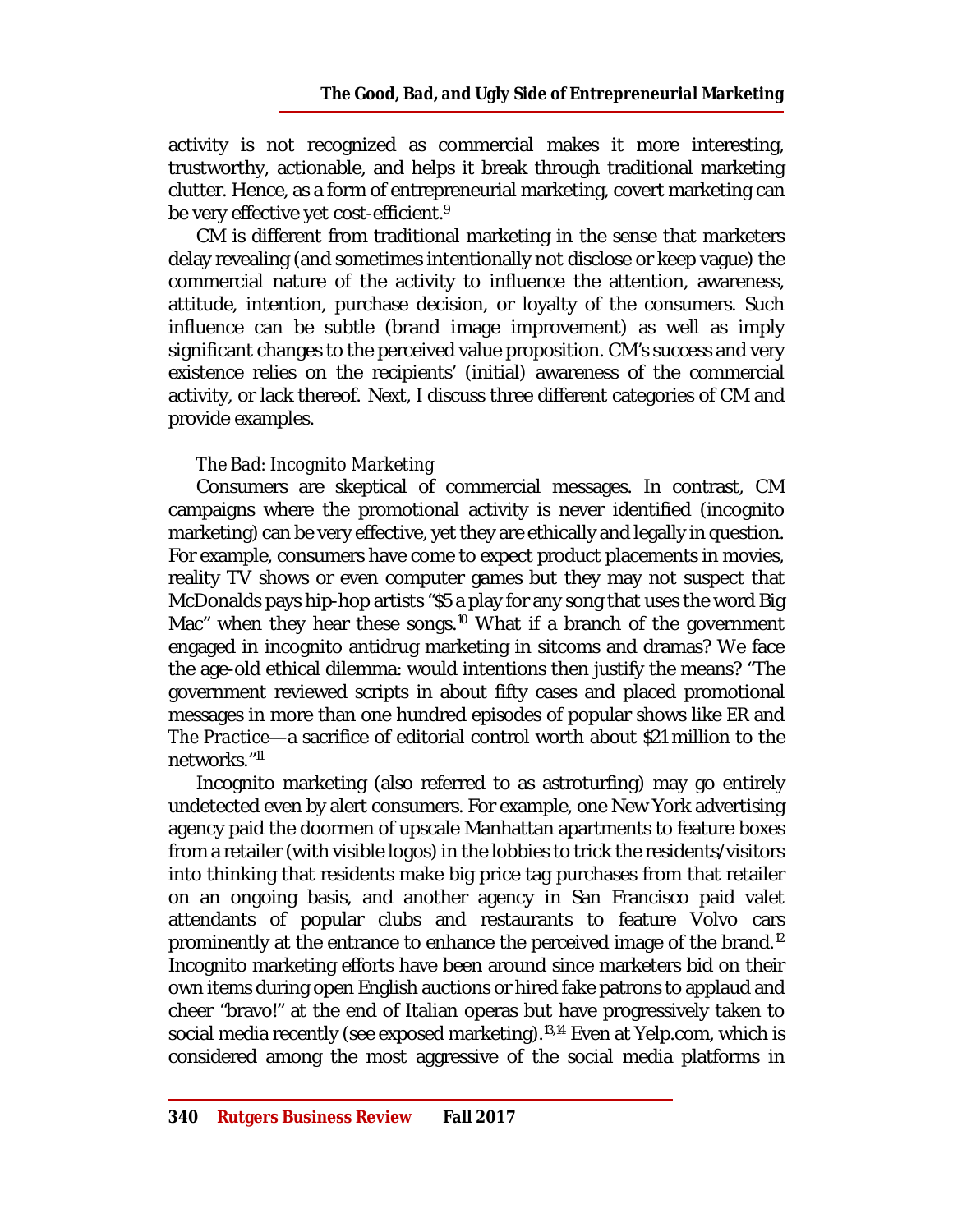activity is not recognized as commercial makes it more interesting, trustworthy, actionable, and helps it break through traditional marketing clutter. Hence, as a form of entrepreneurial marketing, covert marketing can be very effective yet cost-efficient.<sup>9</sup>

CM is different from traditional marketing in the sense that marketers delay revealing (and sometimes intentionally not disclose or keep vague) the commercial nature of the activity to influence the attention, awareness, attitude, intention, purchase decision, or loyalty of the consumers. Such influence can be subtle (brand image improvement) as well as imply significant changes to the perceived value proposition. CM's success and very existence relies on the recipients' (initial) awareness of the commercial activity, or lack thereof. Next, I discuss three different categories of CM and provide examples.

## *The Bad: Incognito Marketing*

Consumers are skeptical of commercial messages. In contrast, CM campaigns where the promotional activity is never identified (incognito marketing) can be very effective, yet they are ethically and legally in question. For example, consumers have come to expect product placements in movies, reality TV shows or even computer games but they may not suspect that McDonalds pays hip-hop artists "\$5 a play for any song that uses the word Big Mac" when they hear these songs.<sup>10</sup> What if a branch of the government engaged in incognito antidrug marketing in sitcoms and dramas? We face the age-old ethical dilemma: would intentions then justify the means? "The government reviewed scripts in about fifty cases and placed promotional messages in more than one hundred episodes of popular shows like *ER* and *The Practice*—a sacrifice of editorial control worth about \$21 million to the networks."<sup>11</sup>

Incognito marketing (also referred to as astroturfing) may go entirely undetected even by alert consumers. For example, one New York advertising agency paid the doormen of upscale Manhattan apartments to feature boxes from a retailer (with visible logos) in the lobbies to trick the residents/visitors into thinking that residents make big price tag purchases from that retailer on an ongoing basis, and another agency in San Francisco paid valet attendants of popular clubs and restaurants to feature Volvo cars prominently at the entrance to enhance the perceived image of the brand.<sup>12</sup> Incognito marketing efforts have been around since marketers bid on their own items during open English auctions or hired fake patrons to applaud and cheer "bravo!" at the end of Italian operas but have progressively taken to social media recently (see exposed marketing).<sup>13,14</sup> Even at Yelp.com, which is considered among the most aggressive of the social media platforms in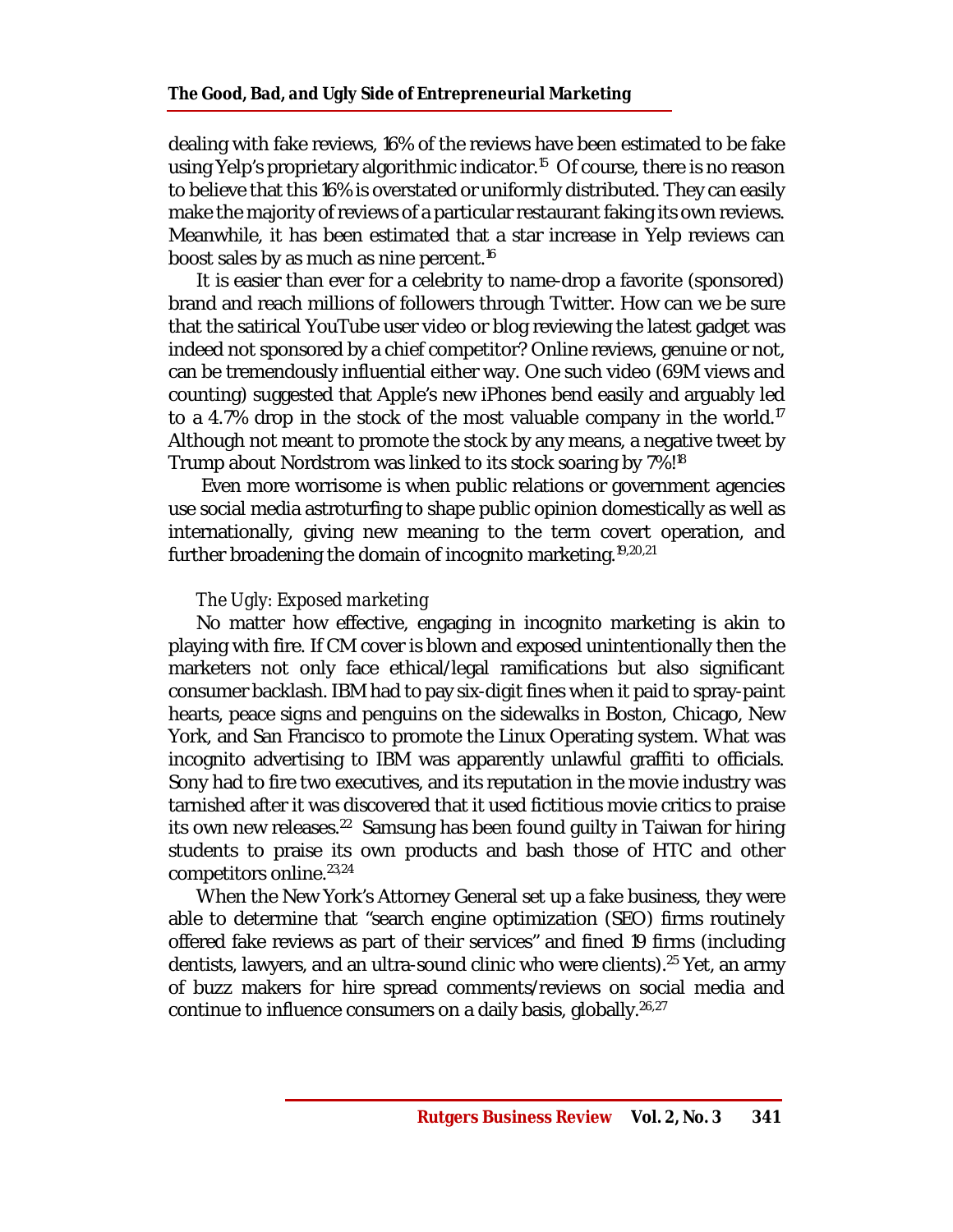dealing with fake reviews, 16% of the reviews have been estimated to be fake using Yelp's proprietary algorithmic indicator.<sup>15</sup> Of course, there is no reason to believe that this 16% is overstated or uniformly distributed. They can easily make the majority of reviews of a particular restaurant faking its own reviews. Meanwhile, it has been estimated that a star increase in Yelp reviews can boost sales by as much as nine percent.<sup>16</sup>

It is easier than ever for a celebrity to name-drop a favorite (sponsored) brand and reach millions of followers through Twitter. How can we be sure that the satirical YouTube user video or blog reviewing the latest gadget was indeed not sponsored by a chief competitor? Online reviews, genuine or not, can be tremendously influential either way. One such video (69M views and counting) suggested that Apple's new iPhones bend easily and arguably led to a 4.7% drop in the stock of the most valuable company in the world.<sup>17</sup> Although not meant to promote the stock by any means, a negative tweet by Trump about Nordstrom was linked to its stock soaring by 7%!<sup>18</sup>

Even more worrisome is when public relations or government agencies use social media astroturfing to shape public opinion domestically as well as internationally, giving new meaning to the term covert operation, and further broadening the domain of incognito marketing.<sup>19,20,21</sup>

## *The Ugly: Exposed marketing*

No matter how effective, engaging in incognito marketing is akin to playing with fire. If CM cover is blown and exposed unintentionally then the marketers not only face ethical/legal ramifications but also significant consumer backlash. IBM had to pay six-digit fines when it paid to spray-paint hearts, peace signs and penguins on the sidewalks in Boston, Chicago, New York, and San Francisco to promote the Linux Operating system. What was incognito advertising to IBM was apparently unlawful graffiti to officials. Sony had to fire two executives, and its reputation in the movie industry was tarnished after it was discovered that it used fictitious movie critics to praise its own new releases.<sup>22</sup> Samsung has been found guilty in Taiwan for hiring students to praise its own products and bash those of HTC and other competitors online.23,24

When the New York's Attorney General set up a fake business, they were able to determine that "search engine optimization (SEO) firms routinely offered fake reviews as part of their services" and fined 19 firms (including dentists, lawyers, and an ultra-sound clinic who were clients).<sup>25</sup> Yet, an army of buzz makers for hire spread comments/reviews on social media and continue to influence consumers on a daily basis, globally. $26,27$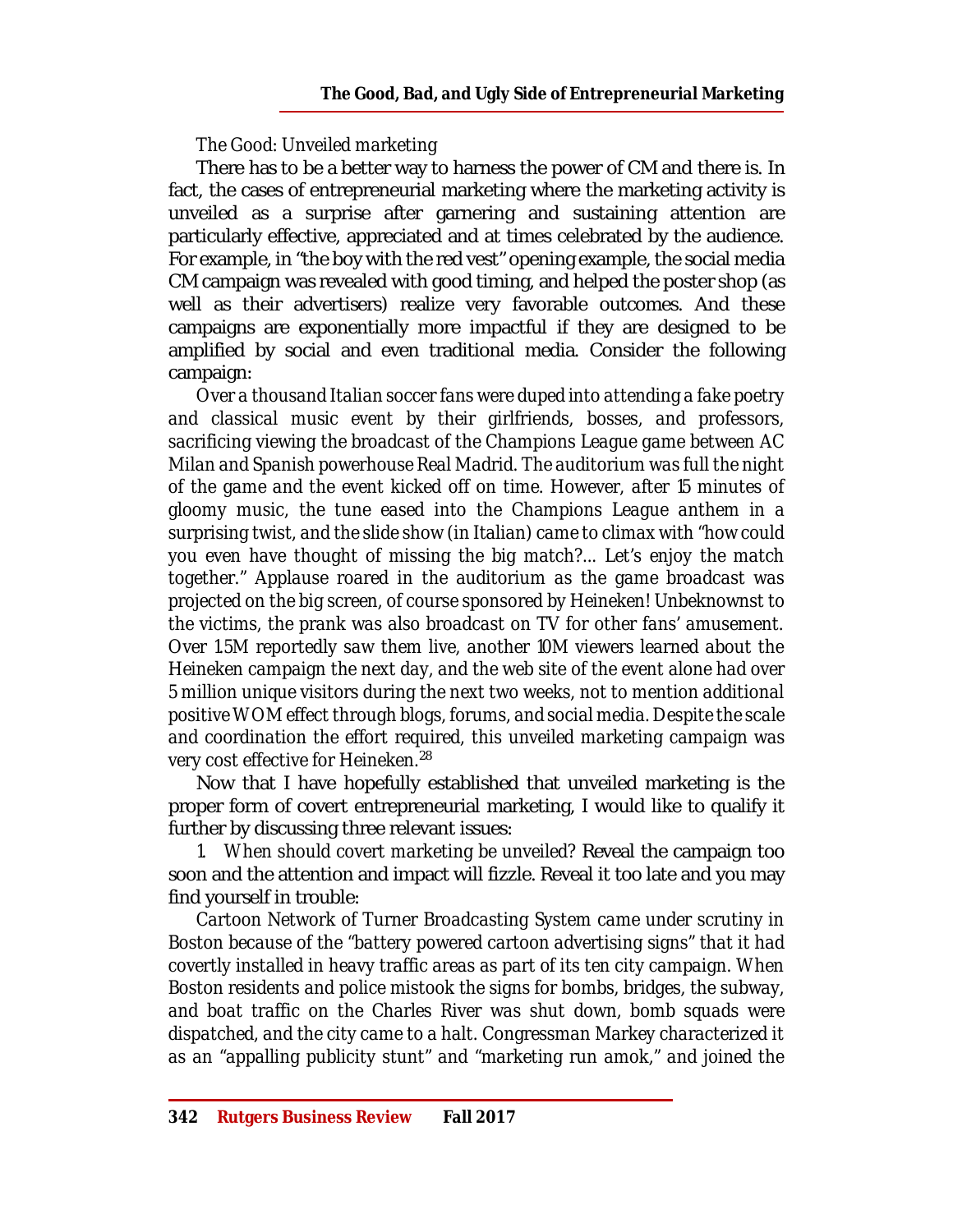## *The Good: Unveiled marketing*

There has to be a better way to harness the power of CM and there is. In fact, the cases of entrepreneurial marketing where the marketing activity is unveiled as a surprise after garnering and sustaining attention are particularly effective, appreciated and at times celebrated by the audience. For example, in "the boy with the red vest" opening example, the social media CM campaign was revealed with good timing, and helped the poster shop (as well as their advertisers) realize very favorable outcomes. And these campaigns are exponentially more impactful if they are designed to be amplified by social and even traditional media. Consider the following campaign:

*Over a thousand Italian soccer fans were duped into attending a fake poetry and classical music event by their girlfriends, bosses, and professors, sacrificing viewing the broadcast of the Champions League game between AC Milan and Spanish powerhouse Real Madrid. The auditorium was full the night of the game and the event kicked off on time. However, after 15 minutes of gloomy music, the tune eased into the Champions League anthem in a surprising twist, and the slide show (in Italian) came to climax with "how could you even have thought of missing the big match?... Let's enjoy the match together." Applause roared in the auditorium as the game broadcast was projected on the big screen, of course sponsored by Heineken! Unbeknownst to the victims, the prank was also broadcast on TV for other fans' amusement. Over 1.5M reportedly saw them live, another 10M viewers learned about the Heineken campaign the next day, and the web site of the event alone had over 5 million unique visitors during the next two weeks, not to mention additional positive WOM effect through blogs, forums, and social media. Despite the scale and coordination the effort required, this unveiled marketing campaign was very cost effective for Heineken.*<sup>28</sup>

Now that I have hopefully established that unveiled marketing is the proper form of covert entrepreneurial marketing, I would like to qualify it further by discussing three relevant issues:

*1. When should covert marketing be unveiled?* Reveal the campaign too soon and the attention and impact will fizzle. Reveal it too late and you may find yourself in trouble:

*Cartoon Network of Turner Broadcasting System came under scrutiny in Boston because of the "battery powered cartoon advertising signs" that it had covertly installed in heavy traffic areas as part of its ten city campaign. When Boston residents and police mistook the signs for bombs, bridges, the subway, and boat traffic on the Charles River was shut down, bomb squads were dispatched, and the city came to a halt. Congressman Markey characterized it as an "appalling publicity stunt" and "marketing run amok," and joined the*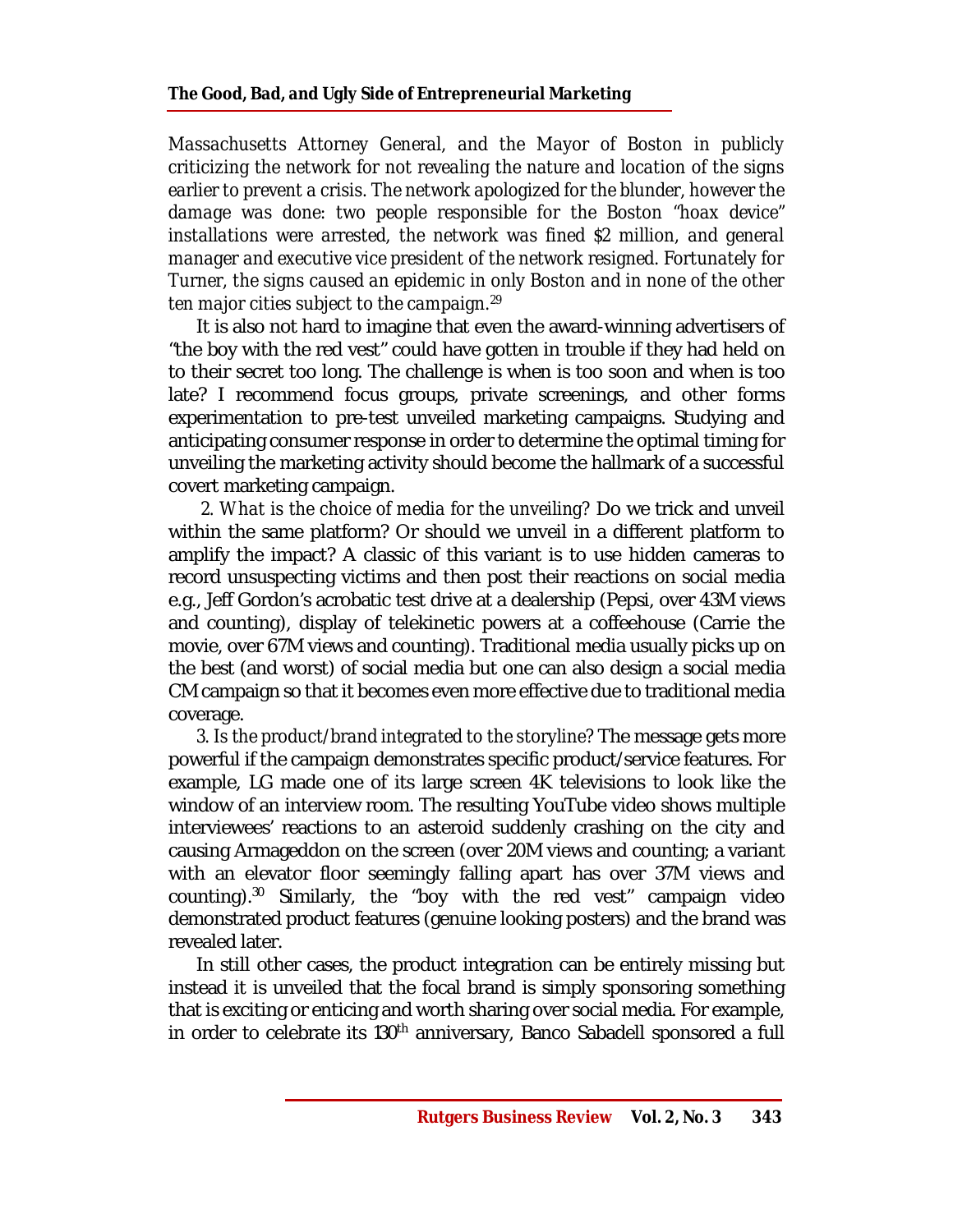*Massachusetts Attorney General, and the Mayor of Boston in publicly criticizing the network for not revealing the nature and location of the signs earlier to prevent a crisis. The network apologized for the blunder, however the damage was done: two people responsible for the Boston "hoax device" installations were arrested, the network was fined \$2 million, and general manager and executive vice president of the network resigned. Fortunately for Turner, the signs caused an epidemic in only Boston and in none of the other ten major cities subject to the campaign.<sup>29</sup>*

It is also not hard to imagine that even the award-winning advertisers of "the boy with the red vest" could have gotten in trouble if they had held on to their secret too long. The challenge is when is too soon and when is too late? I recommend focus groups, private screenings, and other forms experimentation to pre-test unveiled marketing campaigns. Studying and anticipating consumer response in order to determine the optimal timing for unveiling the marketing activity should become the hallmark of a successful covert marketing campaign.

*2. What is the choice of media for the unveiling?* Do we trick and unveil within the same platform? Or should we unveil in a different platform to amplify the impact? A classic of this variant is to use hidden cameras to record unsuspecting victims and then post their reactions on social media e.g., Jeff Gordon's acrobatic test drive at a dealership (Pepsi, over 43M views and counting), display of telekinetic powers at a coffeehouse (Carrie the movie, over 67M views and counting). Traditional media usually picks up on the best (and worst) of social media but one can also design a social media CM campaign so that it becomes even more effective due to traditional media coverage.

*3. Is the product/brand integrated to the storyline?* The message gets more powerful if the campaign demonstrates specific product/service features. For example, LG made one of its large screen 4K televisions to look like the window of an interview room. The resulting YouTube video shows multiple interviewees' reactions to an asteroid suddenly crashing on the city and causing Armageddon on the screen (over 20M views and counting; a variant with an elevator floor seemingly falling apart has over 37M views and counting). $30$  Similarly, the "boy with the red vest" campaign video demonstrated product features (genuine looking posters) and the brand was revealed later.

In still other cases, the product integration can be entirely missing but instead it is unveiled that the focal brand is simply sponsoring something that is exciting or enticing and worth sharing over social media. For example, in order to celebrate its 130<sup>th</sup> anniversary, Banco Sabadell sponsored a full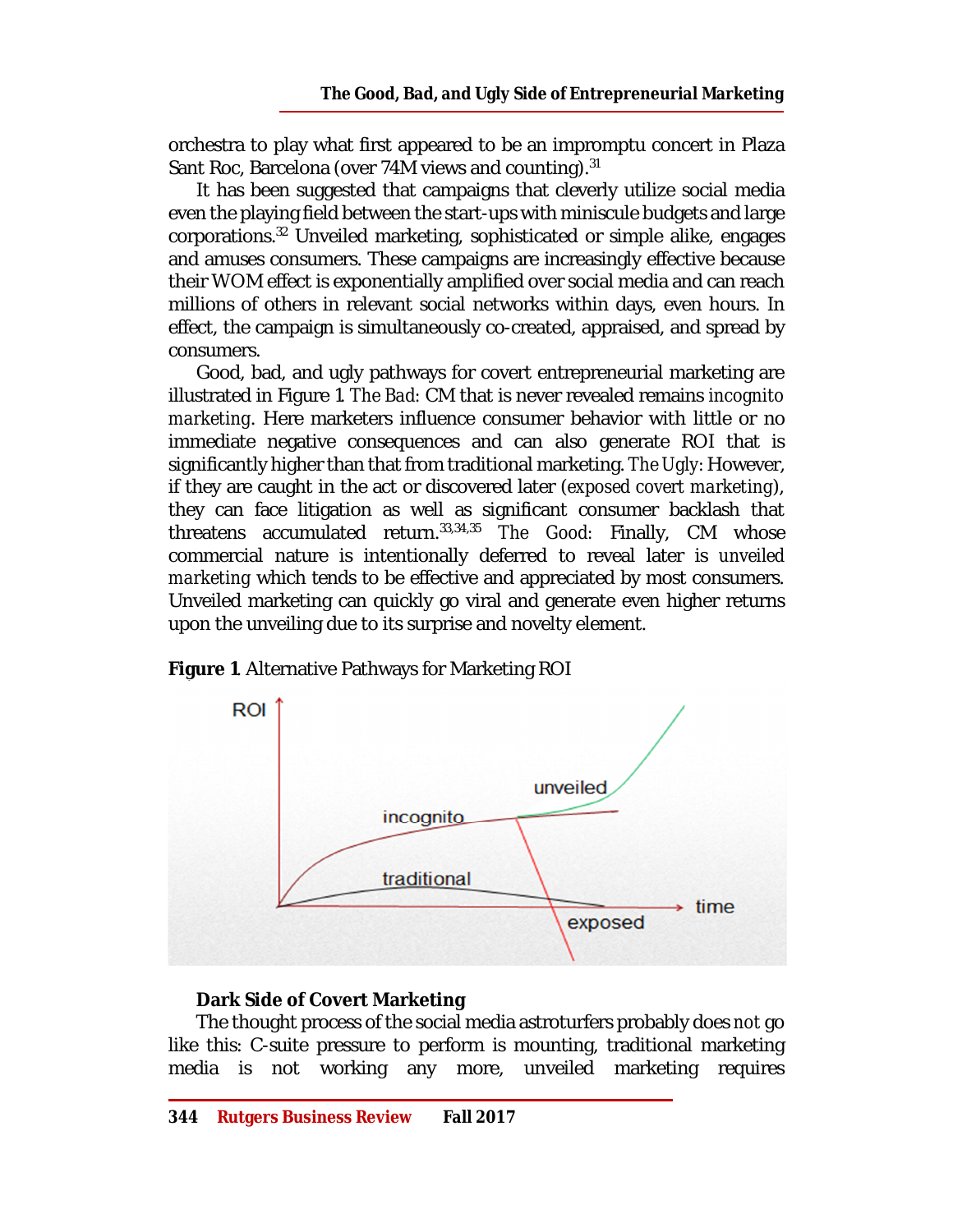orchestra to play what first appeared to be an impromptu concert in Plaza Sant Roc, Barcelona (over 74M views and counting).<sup>31</sup>

It has been suggested that campaigns that cleverly utilize social media even the playing field between the start-ups with miniscule budgets and large corporations.<sup>32</sup> Unveiled marketing, sophisticated or simple alike, engages and amuses consumers. These campaigns are increasingly effective because their WOM effect is exponentially amplified over social media and can reach millions of others in relevant social networks within days, even hours. In effect, the campaign is simultaneously co-created, appraised, and spread by consumers.

Good, bad, and ugly pathways for covert entrepreneurial marketing are illustrated in Figure 1. *The Bad:* CM that is never revealed remains *incognito marketing*. Here marketers influence consumer behavior with little or no immediate negative consequences and can also generate ROI that is significantly higher than that from traditional marketing. *The Ugly:* However, if they are caught in the act or discovered later (*exposed covert marketing*), they can face litigation as well as significant consumer backlash that threatens accumulated return.33,34,35 *The Good:* Finally, CM whose commercial nature is intentionally deferred to reveal later is *unveiled marketing* which tends to be effective and appreciated by most consumers. Unveiled marketing can quickly go viral and generate even higher returns upon the unveiling due to its surprise and novelty element.



**Figure 1**. Alternative Pathways for Marketing ROI

#### **Dark Side of Covert Marketing**

The thought process of the social media astroturfers probably does *not* go like this: C-suite pressure to perform is mounting, traditional marketing media is not working any more, unveiled marketing requires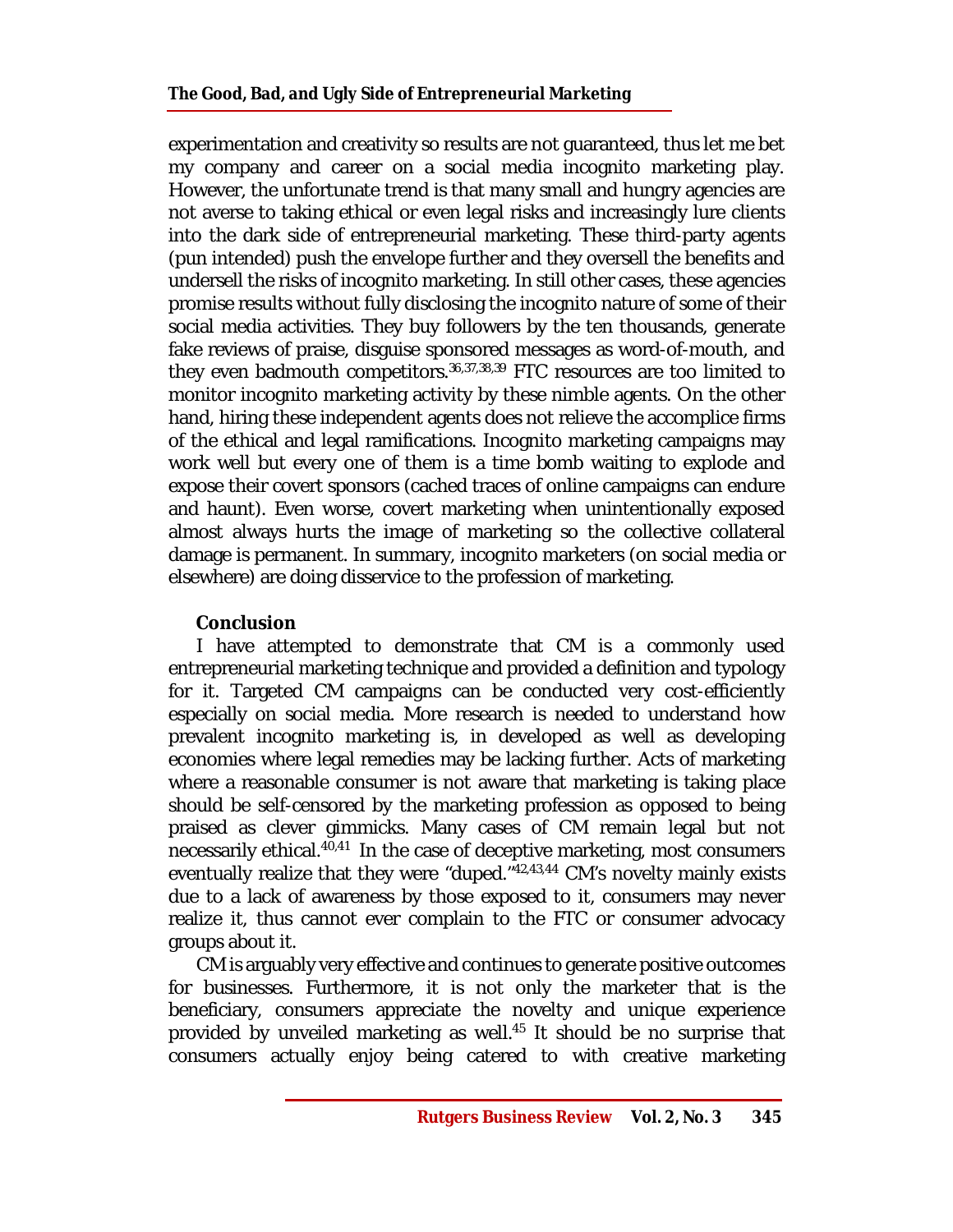experimentation and creativity so results are not guaranteed, thus let me bet my company and career on a social media incognito marketing play. However, the unfortunate trend is that many small and hungry agencies are not averse to taking ethical or even legal risks and increasingly lure clients into the dark side of entrepreneurial marketing. These third-party agents (pun intended) push the envelope further and they oversell the benefits and undersell the risks of incognito marketing. In still other cases, these agencies promise results without fully disclosing the incognito nature of some of their social media activities. They buy followers by the ten thousands, generate fake reviews of praise, disguise sponsored messages as word-of-mouth, and they even badmouth competitors.<sup>36,37,38,39</sup> FTC resources are too limited to monitor incognito marketing activity by these nimble agents. On the other hand, hiring these independent agents does not relieve the accomplice firms of the ethical and legal ramifications. Incognito marketing campaigns may work well but every one of them is a time bomb waiting to explode and expose their covert sponsors (cached traces of online campaigns can endure and haunt). Even worse, covert marketing when unintentionally exposed almost always hurts the image of marketing so the collective collateral damage is permanent. In summary, incognito marketers (on social media or elsewhere) are doing disservice to the profession of marketing.

## **Conclusion**

I have attempted to demonstrate that CM is a commonly used entrepreneurial marketing technique and provided a definition and typology for it. Targeted CM campaigns can be conducted very cost-efficiently especially on social media. More research is needed to understand how prevalent incognito marketing is, in developed as well as developing economies where legal remedies may be lacking further. Acts of marketing where a reasonable consumer is not aware that marketing is taking place should be self-censored by the marketing profession as opposed to being praised as clever gimmicks. Many cases of CM remain legal but not necessarily ethical.<sup>40,41</sup> In the case of deceptive marketing, most consumers eventually realize that they were "duped."<sup>42,43,44</sup> CM's novelty mainly exists due to a lack of awareness by those exposed to it, consumers may never realize it, thus cannot ever complain to the FTC or consumer advocacy groups about it.

CM is arguably very effective and continues to generate positive outcomes for businesses. Furthermore, it is not only the marketer that is the beneficiary, consumers appreciate the novelty and unique experience provided by unveiled marketing as well.<sup>45</sup> It should be no surprise that consumers actually enjoy being catered to with creative marketing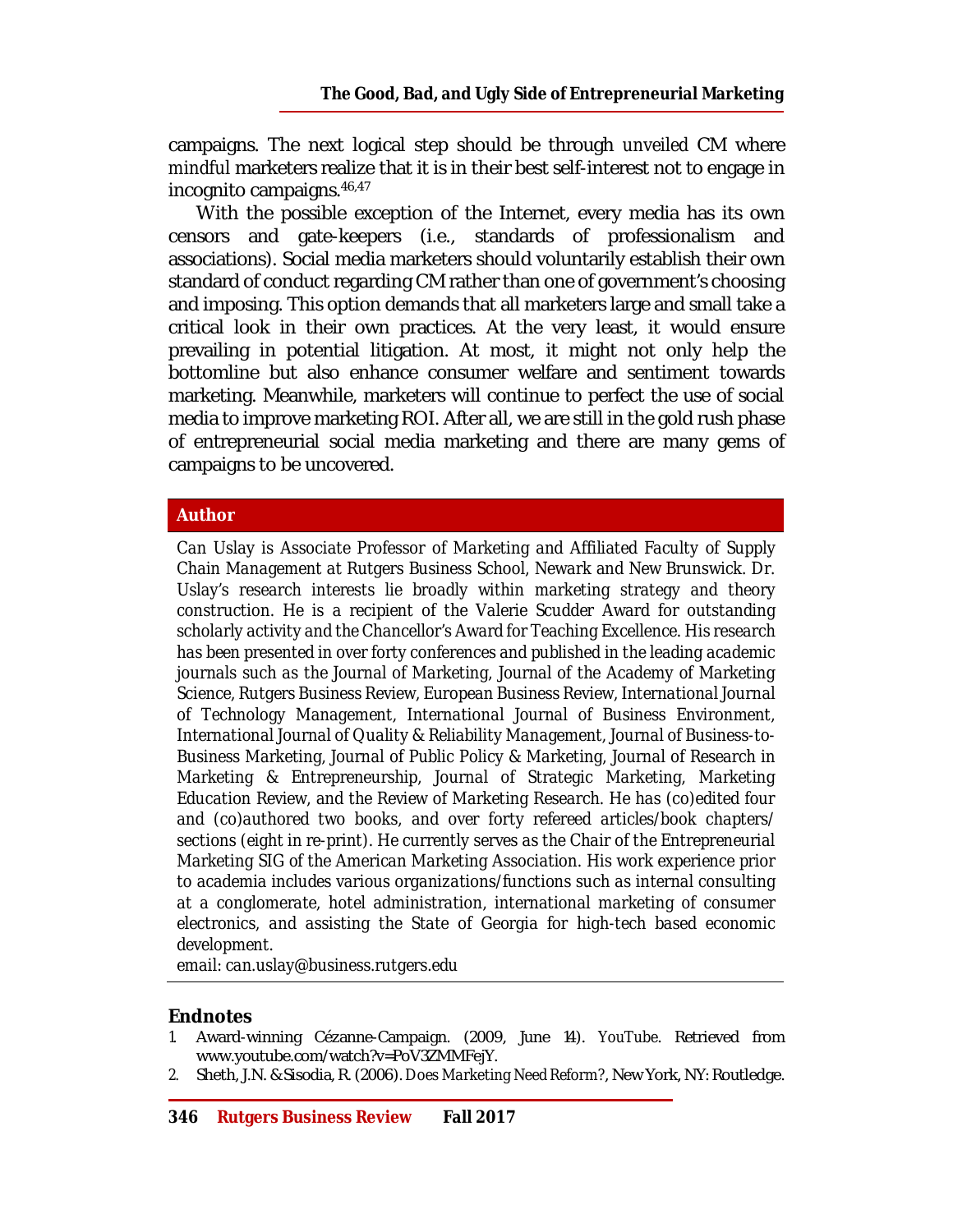campaigns. The next logical step should be through *unveiled* CM where *mindful* marketers realize that it is in their best self-interest not to engage in incognito campaigns.46,47

With the possible exception of the Internet, every media has its own censors and gate-keepers (i.e., standards of professionalism and associations). Social media marketers should voluntarily establish their own standard of conduct regarding CM rather than one of government's choosing and imposing. This option demands that all marketers large and small take a critical look in their own practices. At the very least, it would ensure prevailing in potential litigation. At most, it might not only help the bottomline but also enhance consumer welfare and sentiment towards marketing. Meanwhile, marketers will continue to perfect the use of social media to improve marketing ROI. After all, we are still in the gold rush phase of entrepreneurial social media marketing and there are many gems of campaigns to be uncovered.

#### **Author**

*Can Uslay is Associate Professor of Marketing and Affiliated Faculty of Supply Chain Management at Rutgers Business School, Newark and New Brunswick. Dr. Uslay's research interests lie broadly within marketing strategy and theory construction. He is a recipient of the Valerie Scudder Award for outstanding scholarly activity and the Chancellor's Award for Teaching Excellence. His research has been presented in over forty conferences and published in the leading academic journals such as the Journal of Marketing, Journal of the Academy of Marketing Science, Rutgers Business Review, European Business Review, International Journal of Technology Management, International Journal of Business Environment, International Journal of Quality & Reliability Management, Journal of Business-to-Business Marketing, Journal of Public Policy & Marketing, Journal of Research in Marketing & Entrepreneurship, Journal of Strategic Marketing, Marketing Education Review, and the Review of Marketing Research. He has (co)edited four and (co)authored two books, and over forty refereed articles/book chapters/ sections (eight in re-print). He currently serves as the Chair of the Entrepreneurial Marketing SIG of the American Marketing Association. His work experience prior to academia includes various organizations/functions such as internal consulting at a conglomerate, hotel administration, international marketing of consumer electronics, and assisting the State of Georgia for high-tech based economic development.*

*email: [can.uslay@business.rutgers.edu](mailto:can.uslay@business.rutgers.edu)*

#### **Endnotes**

- *1.* Award-winning Cézanne-Campaign. (2009, June 14). *YouTube*. Retrieved from [www.youtube.com/watch?v=PoV3ZMMFejY.](http://www.youtube.com/watch?v=PoV3ZMMFejY.)
- *2.* Sheth, J.N. & Sisodia, R. (2006). *Does Marketing Need Reform?*, New York, NY: Routledge.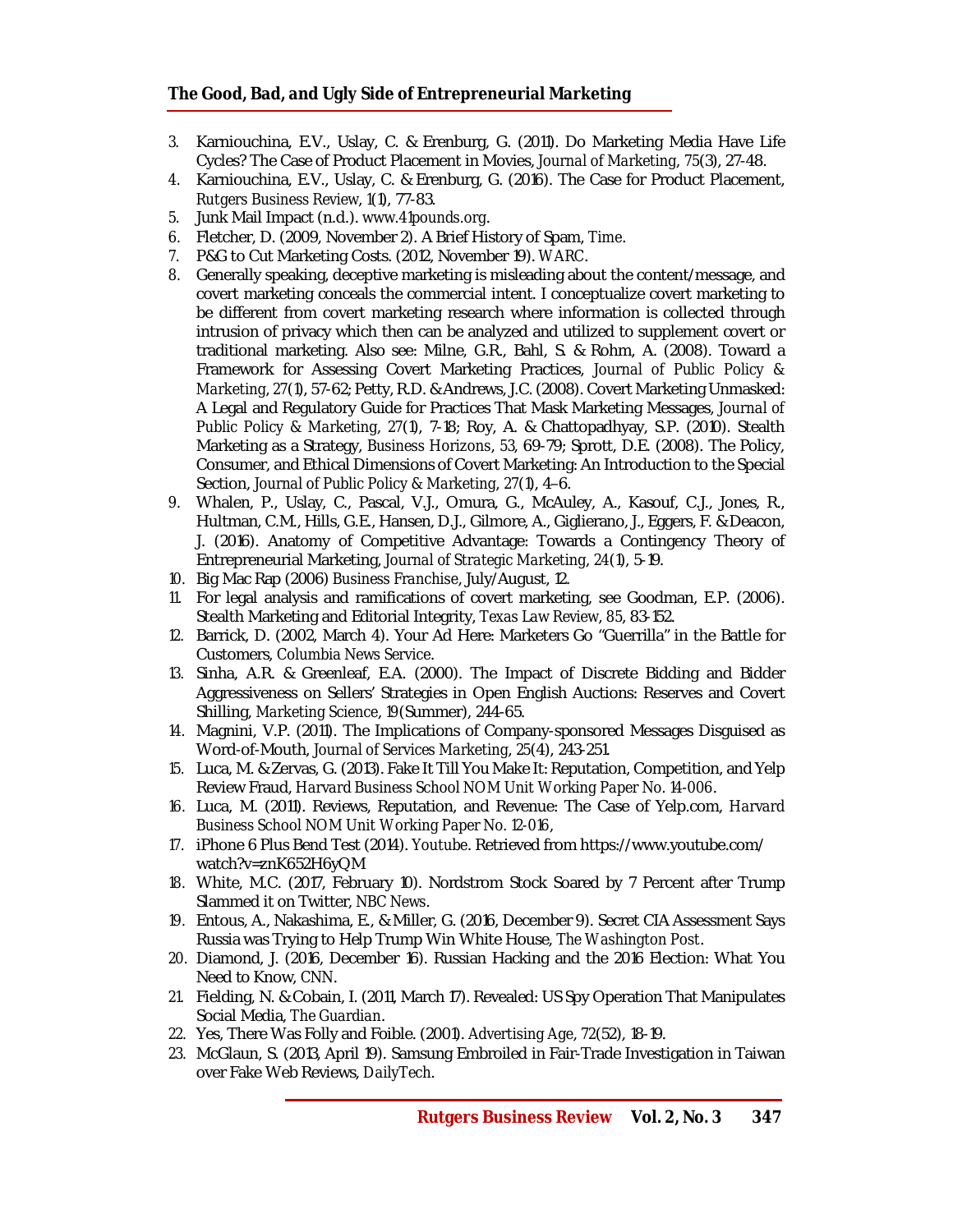- *3.* Karniouchina, E.V., Uslay, C. & Erenburg, G. (2011). Do Marketing Media Have Life Cycles? The Case of Product Placement in Movies, *Journal of Marketing*, *75*(3), 27-48.
- *4.* Karniouchina, E.V., Uslay, C. & Erenburg, G. (2016). The Case for Product Placement, *Rutgers Business Review*, *1*(1), 77-83.
- *5.* Junk Mail Impact (n.d.). *[www.41pounds.org](http://www.41pounds.org)*.
- *6.* Fletcher, D. (2009, November 2). A Brief History of Spam, *Time*.
- *7.* P&G to Cut Marketing Costs. (2012, November 19). *WARC*.
- *8.* Generally speaking, deceptive marketing is misleading about the content/message, and covert marketing conceals the commercial intent. I conceptualize covert marketing to be different from covert marketing research where information is collected through intrusion of privacy which then can be analyzed and utilized to supplement covert or traditional marketing. Also see: Milne, G.R., Bahl, S. & Rohm, A. (2008). Toward a Framework for Assessing Covert Marketing Practices, *Journal of Public Policy & Marketing*, *27*(1), 57-62; Petty, R.D. & Andrews, J.C. (2008). Covert Marketing Unmasked: A Legal and Regulatory Guide for Practices That Mask Marketing Messages, *Journal of Public Policy & Marketing*, *27*(1), 7-18; Roy, A. & Chattopadhyay, S.P. (2010). Stealth Marketing as a Strategy, *Business Horizons*, *53*, 69-79; Sprott, D.E. (2008). The Policy, Consumer, and Ethical Dimensions of Covert Marketing: An Introduction to the Special Section, *Journal of Public Policy & Marketing*, *27*(1), 4–6.
- *9.* Whalen, P., Uslay, C., Pascal, V.J., Omura, G., McAuley, A., Kasouf, C.J., Jones, R., Hultman, C.M., Hills, G.E., Hansen, D.J., Gilmore, A., Giglierano, J., Eggers, F. & Deacon, J. (2016). Anatomy of Competitive Advantage: Towards a Contingency Theory of Entrepreneurial Marketing, *Journal of Strategic Marketing*, *24*(1), 5-19.
- *10.* Big Mac Rap (2006) *Business Franchise*, July/August, 12.
- *11.* For legal analysis and ramifications of covert marketing, see Goodman, E.P. (2006). Stealth Marketing and Editorial Integrity, *Texas Law Review*, *85*, 83-152.
- *12.* Barrick, D. (2002, March 4). Your Ad Here: Marketers Go "Guerrilla" in the Battle for Customers, *Columbia News Service*.
- *13.* Sinha, A.R. & Greenleaf, E.A. (2000). The Impact of Discrete Bidding and Bidder Aggressiveness on Sellers' Strategies in Open English Auctions: Reserves and Covert Shilling, *Marketing Science*, *19*(Summer), 244-65.
- *14.* Magnini, V.P. (2011). The Implications of Company-sponsored Messages Disguised as Word-of-Mouth, *Journal of Services Marketing*, *25*(4), 243-251.
- *15.* Luca, M. & Zervas, G. (2013). Fake It Till You Make It: Reputation, Competition, and Yelp Review Fraud, *Harvard Business School NOM Unit Working Paper No. 14-006*.
- *16.* Luca, M. (2011). Reviews, Reputation, and Revenue: The Case of Yelp.com, *Harvard Business School NOM Unit Working Paper No. 12-016*,
- *17.* iPhone 6 Plus Bend Test (2014). *Youtube*. Retrieved from <https://www.youtube.com/> watch?v=znK652H6yQM
- *18.* White, M.C. (2017, February 10). Nordstrom Stock Soared by 7 Percent after Trump Slammed it on Twitter, *NBC News*.
- *19.* Entous, A., Nakashima, E., & Miller, G. (2016, December 9). Secret CIA Assessment Says Russia was Trying to Help Trump Win White House, *The Washington Post*.
- *20.* Diamond, J. (2016, December 16). Russian Hacking and the 2016 Election: What You Need to Know, *CNN*.
- *21.* Fielding, N. & Cobain, I. (2011, March 17). Revealed: US Spy Operation That Manipulates Social Media, *The Guardian*.
- *22.* Yes, There Was Folly and Foible. (2001). *Advertising Age*, *72*(52), 18-19.
- *23.* McGlaun, S. (2013, April 19). Samsung Embroiled in Fair-Trade Investigation in Taiwan over Fake Web Reviews, *DailyTech*.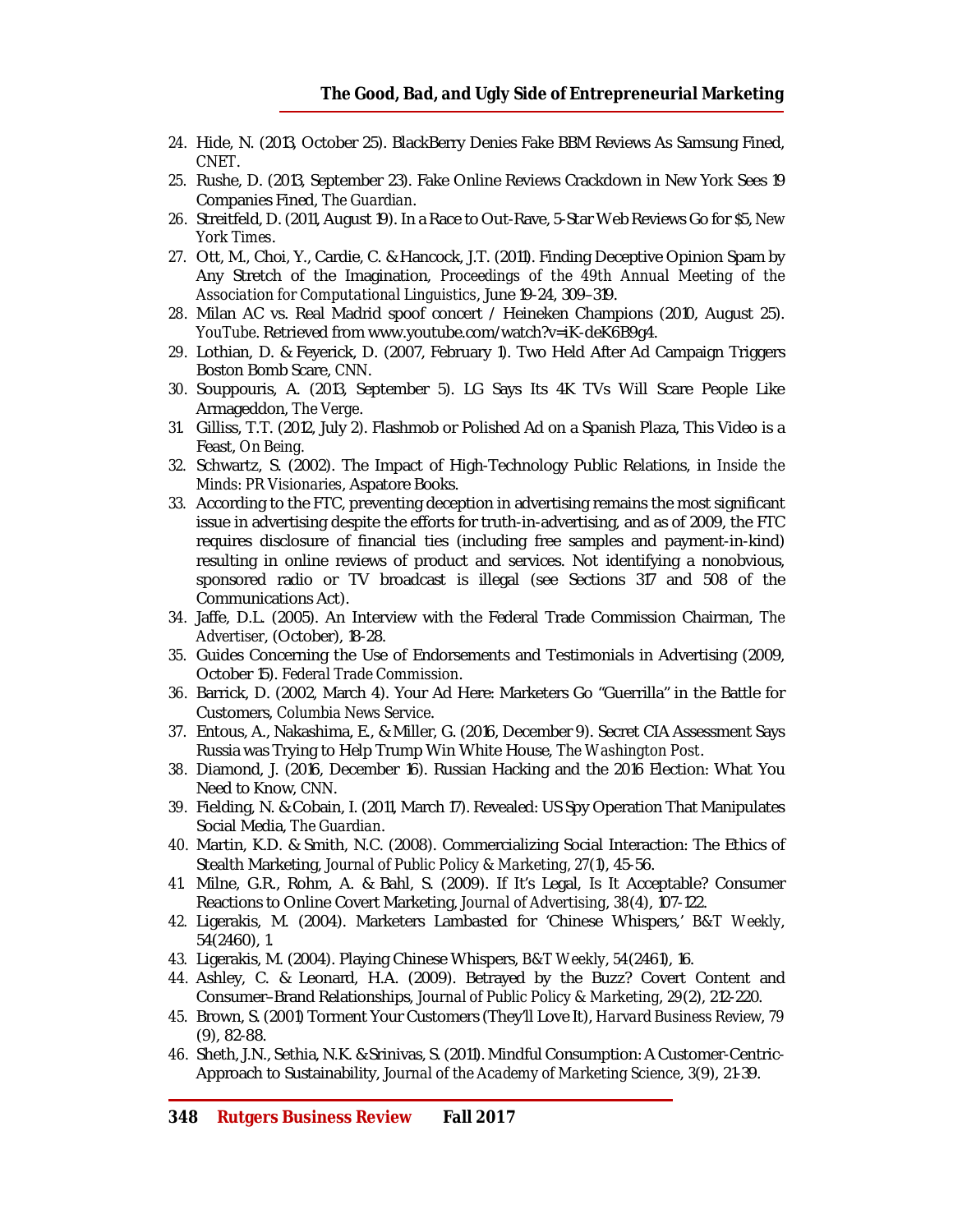- *24.* Hide, N. (2013, October 25). BlackBerry Denies Fake BBM Reviews As Samsung Fined, *CNET*.
- *25.* Rushe, D. (2013, September 23). Fake Online Reviews Crackdown in New York Sees 19 Companies Fined, *The Guardian*.
- *26.* Streitfeld, D. (2011, August 19). In a Race to Out-Rave, 5-Star Web Reviews Go for \$5, *New York Times*.
- *27.* Ott, M., Choi, Y., Cardie, C. & Hancock, J.T. (2011). Finding Deceptive Opinion Spam by Any Stretch of the Imagination, *Proceedings of the 49th Annual Meeting of the Association for Computational Linguistics*, June 19-24, 309–319.
- *28.* Milan AC vs. Real Madrid spoof concert / Heineken Champions (2010, August 25). *YouTube*. Retrieved from [www.youtube.com/watch?v=iK-deK6B9g4.](http://www.youtube.com/watch?v=iK-deK6B9g4.)
- *29.* Lothian, D. & Feyerick, D. (2007, February 1). Two Held After Ad Campaign Triggers Boston Bomb Scare, *CNN*.
- *30.* Souppouris, A. (2013, September 5). LG Says Its 4K TVs Will Scare People Like Armageddon, *The Verge*.
- *31.* Gilliss, T.T. (2012, July 2). Flashmob or Polished Ad on a Spanish Plaza, This Video is a Feast, *On Being.*
- *32.* Schwartz, S. (2002). The Impact of High-Technology Public Relations, in *Inside the Minds: PR Visionaries*, Aspatore Books.
- *33.* According to the FTC, preventing deception in advertising remains the most significant issue in advertising despite the efforts for truth-in-advertising, and as of 2009, the FTC requires disclosure of financial ties (including free samples and payment-in-kind) resulting in online reviews of product and services. Not identifying a nonobvious, sponsored radio or TV broadcast is illegal (see Sections 317 and 508 of the Communications Act).
- *34.* Jaffe, D.L. (2005). An Interview with the Federal Trade Commission Chairman, *The Advertiser*, (October), 18-28.
- *35.* Guides Concerning the Use of Endorsements and Testimonials in Advertising (2009, October 15). *Federal Trade Commission*.
- *36.* Barrick, D. (2002, March 4). Your Ad Here: Marketers Go "Guerrilla" in the Battle for Customers, *Columbia News Service*.
- *37.* Entous, A., Nakashima, E., & Miller, G. (2016, December 9). Secret CIA Assessment Says Russia was Trying to Help Trump Win White House, *The Washington Post*.
- *38.* Diamond, J. (2016, December 16). Russian Hacking and the 2016 Election: What You Need to Know, *CNN*.
- *39.* Fielding, N. & Cobain, I. (2011, March 17). Revealed: US Spy Operation That Manipulates Social Media, *The Guardian*.
- *40.* Martin, K.D. & Smith, N.C. (2008). Commercializing Social Interaction: The Ethics of Stealth Marketing, *Journal of Public Policy & Marketing, 27*(1), 45-56.
- *41.* Milne, G.R., Rohm, A. & Bahl, S. (2009). If It's Legal, Is It Acceptable? Consumer Reactions to Online Covert Marketing, *Journal of Advertising*, *38*(4), 107-122.
- *42.* Ligerakis, M. (2004). Marketers Lambasted for 'Chinese Whispers,' *B&T Weekly*, 54(2460), 1.
- *43.* Ligerakis, M. (2004). Playing Chinese Whispers, *B&T Weekly*, *54*(2461), 16.
- *44.* Ashley, C. & Leonard, H.A. (2009). Betrayed by the Buzz? Covert Content and Consumer–Brand Relationships, *Journal of Public Policy & Marketing*, *29*(2), 212-220.
- *45.* Brown, S. (2001) Torment Your Customers (They'll Love It), *Harvard Business Review*, *79* (9), 82-88.
- *46.* Sheth, J.N., Sethia, N.K. & Srinivas, S. (2011). Mindful Consumption: A Customer-Centric-Approach to Sustainability, *Journal of the Academy of Marketing Science*, *3*(9), 21-39.